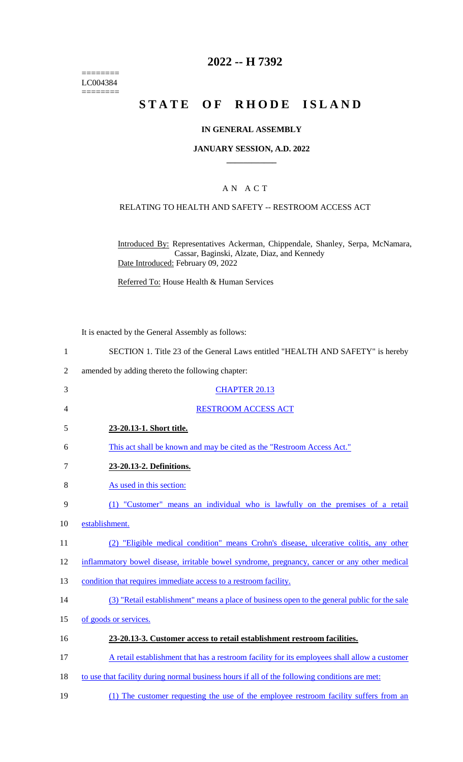======== LC004384  $=$ 

# **2022 -- H 7392**

# **STATE OF RHODE ISLAND**

### **IN GENERAL ASSEMBLY**

### **JANUARY SESSION, A.D. 2022 \_\_\_\_\_\_\_\_\_\_\_\_**

### A N A C T

### RELATING TO HEALTH AND SAFETY -- RESTROOM ACCESS ACT

Introduced By: Representatives Ackerman, Chippendale, Shanley, Serpa, McNamara, Cassar, Baginski, Alzate, Diaz, and Kennedy Date Introduced: February 09, 2022

Referred To: House Health & Human Services

|                | It is enacted by the General Assembly as follows:                                            |
|----------------|----------------------------------------------------------------------------------------------|
| $\mathbf{1}$   | SECTION 1. Title 23 of the General Laws entitled "HEALTH AND SAFETY" is hereby               |
| $\overline{2}$ | amended by adding thereto the following chapter:                                             |
| 3              | <b>CHAPTER 20.13</b>                                                                         |
| 4              | <b>RESTROOM ACCESS ACT</b>                                                                   |
| 5              | 23-20.13-1. Short title.                                                                     |
| 6              | This act shall be known and may be cited as the "Restroom Access Act."                       |
| 7              | 23-20.13-2. Definitions.                                                                     |
| 8              | As used in this section:                                                                     |
| 9              | (1) "Customer" means an individual who is lawfully on the premises of a retail               |
| 10             | establishment.                                                                               |
| 11             | (2) "Eligible medical condition" means Crohn's disease, ulcerative colitis, any other        |
| 12             | inflammatory bowel disease, irritable bowel syndrome, pregnancy, cancer or any other medical |
| 13             | condition that requires immediate access to a restroom facility.                             |
| 14             | (3) "Retail establishment" means a place of business open to the general public for the sale |
| 15             | of goods or services.                                                                        |
|                |                                                                                              |

# 16 **23-20.13-3. Customer access to retail establishment restroom facilities.**

- 17 A retail establishment that has a restroom facility for its employees shall allow a customer
- 18 to use that facility during normal business hours if all of the following conditions are met:
- 19 (1) The customer requesting the use of the employee restroom facility suffers from an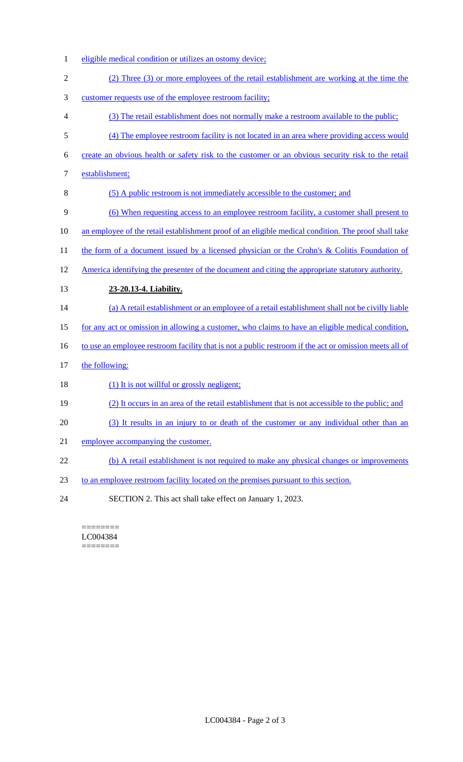- eligible medical condition or utilizes an ostomy device;
- (2) Three (3) or more employees of the retail establishment are working at the time the
- customer requests use of the employee restroom facility;
- (3) The retail establishment does not normally make a restroom available to the public;
- (4) The employee restroom facility is not located in an area where providing access would
- create an obvious health or safety risk to the customer or an obvious security risk to the retail
- establishment;
- (5) A public restroom is not immediately accessible to the customer; and
- (6) When requesting access to an employee restroom facility, a customer shall present to
- 10 an employee of the retail establishment proof of an eligible medical condition. The proof shall take
- 11 the form of a document issued by a licensed physician or the Crohn's & Colitis Foundation of
- America identifying the presenter of the document and citing the appropriate statutory authority.
- **23-20.13-4. Liability.**
- (a) A retail establishment or an employee of a retail establishment shall not be civilly liable
- for any act or omission in allowing a customer, who claims to have an eligible medical condition,
- 16 to use an employee restroom facility that is not a public restroom if the act or omission meets all of
- 17 the following:
- 18 (1) It is not willful or grossly negligent;
- (2) It occurs in an area of the retail establishment that is not accessible to the public; and
- (3) It results in an injury to or death of the customer or any individual other than an
- employee accompanying the customer.
- 22 (b) A retail establishment is not required to make any physical changes or improvements
- to an employee restroom facility located on the premises pursuant to this section.
- SECTION 2. This act shall take effect on January 1, 2023.

======== LC004384 ========